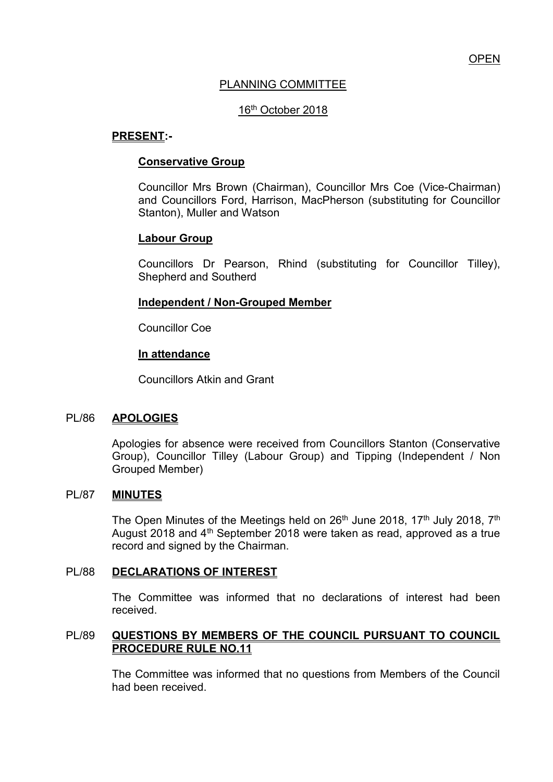# PLANNING COMMITTEE

# 16th October 2018

## **PRESENT:-**

#### **Conservative Group**

Councillor Mrs Brown (Chairman), Councillor Mrs Coe (Vice-Chairman) and Councillors Ford, Harrison, MacPherson (substituting for Councillor Stanton), Muller and Watson

## **Labour Group**

Councillors Dr Pearson, Rhind (substituting for Councillor Tilley), Shepherd and Southerd

#### **Independent / Non-Grouped Member**

Councillor Coe

#### **In attendance**

Councillors Atkin and Grant

#### PL/86 **APOLOGIES**

Apologies for absence were received from Councillors Stanton (Conservative Group), Councillor Tilley (Labour Group) and Tipping (Independent / Non Grouped Member)

# PL/87 **MINUTES**

The Open Minutes of the Meetings held on 26<sup>th</sup> June 2018, 17<sup>th</sup> July 2018, 7<sup>th</sup> August 2018 and 4<sup>th</sup> September 2018 were taken as read, approved as a true record and signed by the Chairman.

#### PL/88 **DECLARATIONS OF INTEREST**

 The Committee was informed that no declarations of interest had been received.

## PL/89 **QUESTIONS BY MEMBERS OF THE COUNCIL PURSUANT TO COUNCIL PROCEDURE RULE NO.11**

 The Committee was informed that no questions from Members of the Council had been received.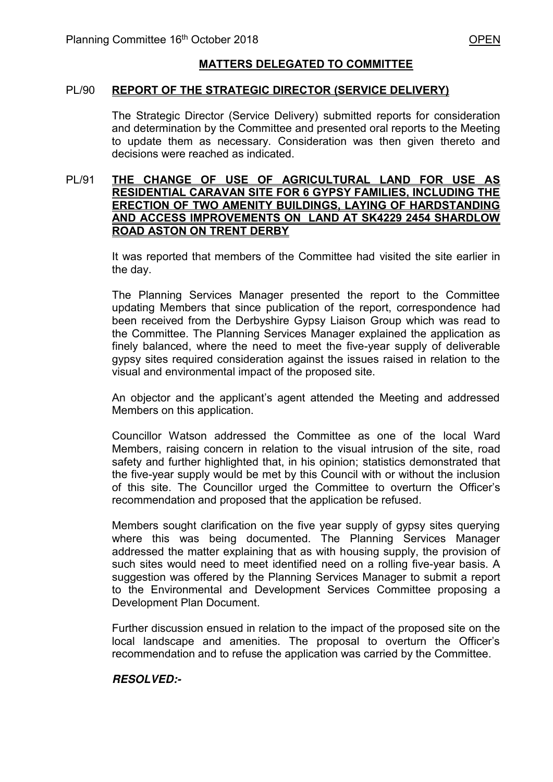### **MATTERS DELEGATED TO COMMITTEE**

#### PL/90 **REPORT OF THE STRATEGIC DIRECTOR (SERVICE DELIVERY)**

The Strategic Director (Service Delivery) submitted reports for consideration and determination by the Committee and presented oral reports to the Meeting to update them as necessary. Consideration was then given thereto and decisions were reached as indicated.

#### PL/91 **THE CHANGE OF USE OF AGRICULTURAL LAND FOR USE AS RESIDENTIAL CARAVAN SITE FOR 6 GYPSY FAMILIES, INCLUDING THE ERECTION OF TWO AMENITY BUILDINGS, LAYING OF HARDSTANDING AND ACCESS IMPROVEMENTS ON LAND AT SK4229 2454 SHARDLOW ROAD ASTON ON TRENT DERBY**

 It was reported that members of the Committee had visited the site earlier in the day.

 The Planning Services Manager presented the report to the Committee updating Members that since publication of the report, correspondence had been received from the Derbyshire Gypsy Liaison Group which was read to the Committee. The Planning Services Manager explained the application as finely balanced, where the need to meet the five-year supply of deliverable gypsy sites required consideration against the issues raised in relation to the visual and environmental impact of the proposed site.

 An objector and the applicant's agent attended the Meeting and addressed Members on this application.

 Councillor Watson addressed the Committee as one of the local Ward Members, raising concern in relation to the visual intrusion of the site, road safety and further highlighted that, in his opinion; statistics demonstrated that the five-year supply would be met by this Council with or without the inclusion of this site. The Councillor urged the Committee to overturn the Officer's recommendation and proposed that the application be refused.

 Members sought clarification on the five year supply of gypsy sites querying where this was being documented. The Planning Services Manager addressed the matter explaining that as with housing supply, the provision of such sites would need to meet identified need on a rolling five-year basis. A suggestion was offered by the Planning Services Manager to submit a report to the Environmental and Development Services Committee proposing a Development Plan Document.

 Further discussion ensued in relation to the impact of the proposed site on the local landscape and amenities. The proposal to overturn the Officer's recommendation and to refuse the application was carried by the Committee.

#### *RESOLVED:-*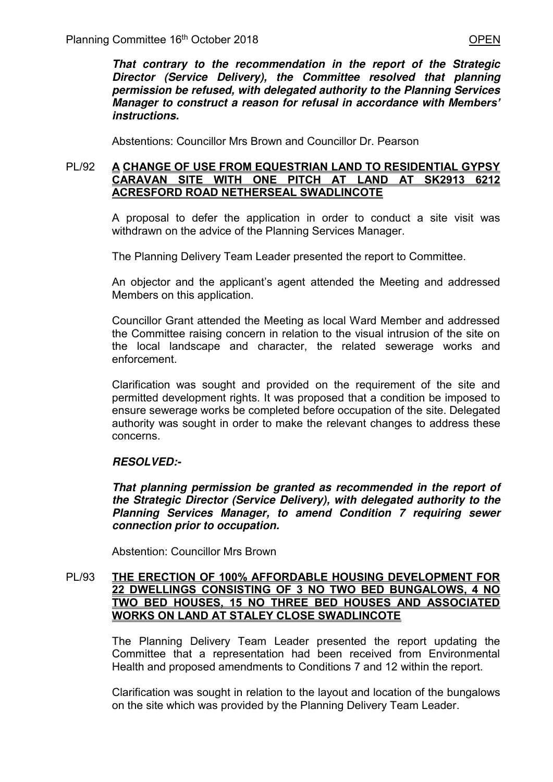*That contrary to the recommendation in the report of the Strategic Director (Service Delivery), the Committee resolved that planning permission be refused, with delegated authority to the Planning Services Manager to construct a reason for refusal in accordance with Members' instructions.*

Abstentions: Councillor Mrs Brown and Councillor Dr. Pearson

### PL/92 **A CHANGE OF USE FROM EQUESTRIAN LAND TO RESIDENTIAL GYPSY CARAVAN SITE WITH ONE PITCH AT LAND AT SK2913 6212 ACRESFORD ROAD NETHERSEAL SWADLINCOTE**

 A proposal to defer the application in order to conduct a site visit was withdrawn on the advice of the Planning Services Manager.

The Planning Delivery Team Leader presented the report to Committee.

 An objector and the applicant's agent attended the Meeting and addressed Members on this application.

 Councillor Grant attended the Meeting as local Ward Member and addressed the Committee raising concern in relation to the visual intrusion of the site on the local landscape and character, the related sewerage works and enforcement.

 Clarification was sought and provided on the requirement of the site and permitted development rights. It was proposed that a condition be imposed to ensure sewerage works be completed before occupation of the site. Delegated authority was sought in order to make the relevant changes to address these concerns.

# *RESOLVED:-*

*That planning permission be granted as recommended in the report of the Strategic Director (Service Delivery), with delegated authority to the Planning Services Manager, to amend Condition 7 requiring sewer connection prior to occupation.* 

Abstention: Councillor Mrs Brown

### PL/93 **THE ERECTION OF 100% AFFORDABLE HOUSING DEVELOPMENT FOR 22 DWELLINGS CONSISTING OF 3 NO TWO BED BUNGALOWS, 4 NO TWO BED HOUSES, 15 NO THREE BED HOUSES AND ASSOCIATED WORKS ON LAND AT STALEY CLOSE SWADLINCOTE**

The Planning Delivery Team Leader presented the report updating the Committee that a representation had been received from Environmental Health and proposed amendments to Conditions 7 and 12 within the report.

Clarification was sought in relation to the layout and location of the bungalows on the site which was provided by the Planning Delivery Team Leader.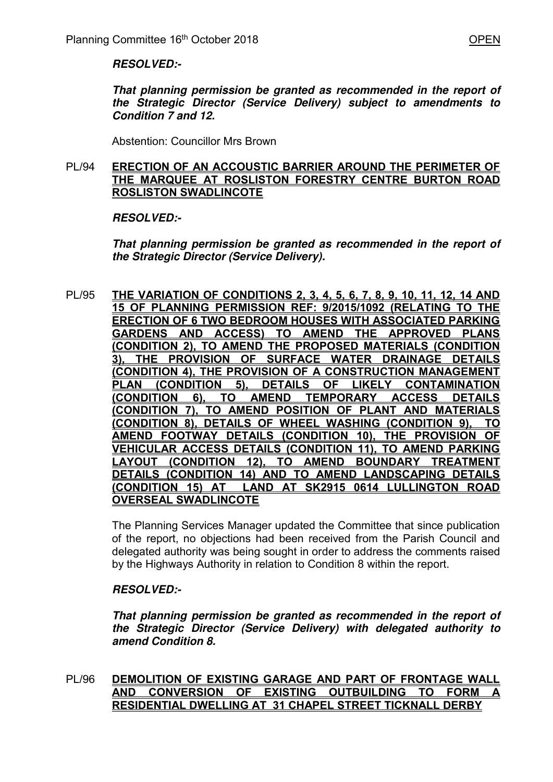#### *RESOLVED:-*

*That planning permission be granted as recommended in the report of the Strategic Director (Service Delivery) subject to amendments to Condition 7 and 12.* 

Abstention: Councillor Mrs Brown

#### PL/94 **ERECTION OF AN ACCOUSTIC BARRIER AROUND THE PERIMETER OF THE MARQUEE AT ROSLISTON FORESTRY CENTRE BURTON ROAD ROSLISTON SWADLINCOTE**

## *RESOLVED:-*

*That planning permission be granted as recommended in the report of the Strategic Director (Service Delivery).* 

PL/95 **THE VARIATION OF CONDITIONS 2, 3, 4, 5, 6, 7, 8, 9, 10, 11, 12, 14 AND 15 OF PLANNING PERMISSION REF: 9/2015/1092 (RELATING TO THE ERECTION OF 6 TWO BEDROOM HOUSES WITH ASSOCIATED PARKING GARDENS AND ACCESS) TO AMEND THE APPROVED PLANS (CONDITION 2), TO AMEND THE PROPOSED MATERIALS (CONDITION 3), THE PROVISION OF SURFACE WATER DRAINAGE DETAILS (CONDITION 4), THE PROVISION OF A CONSTRUCTION MANAGEMENT PLAN (CONDITION 5), DETAILS OF LIKELY CONTAMINATION (CONDITION 6), TO AMEND TEMPORARY ACCESS DETAILS (CONDITION 7), TO AMEND POSITION OF PLANT AND MATERIALS (CONDITION 8), DETAILS OF WHEEL WASHING (CONDITION 9), TO AMEND FOOTWAY DETAILS (CONDITION 10), THE PROVISION OF VEHICULAR ACCESS DETAILS (CONDITION 11), TO AMEND PARKING LAYOUT (CONDITION 12), TO AMEND BOUNDARY TREATMENT DETAILS (CONDITION 14) AND TO AMEND LANDSCAPING DETAILS (CONDITION 15) AT LAND AT SK2915 0614 LULLINGTON ROAD OVERSEAL SWADLINCOTE** 

> The Planning Services Manager updated the Committee that since publication of the report, no objections had been received from the Parish Council and delegated authority was being sought in order to address the comments raised by the Highways Authority in relation to Condition 8 within the report.

## *RESOLVED:-*

*That planning permission be granted as recommended in the report of the Strategic Director (Service Delivery) with delegated authority to amend Condition 8.* 

## PL/96 **DEMOLITION OF EXISTING GARAGE AND PART OF FRONTAGE WALL AND CONVERSION OF EXISTING OUTBUILDING TO FORM A RESIDENTIAL DWELLING AT 31 CHAPEL STREET TICKNALL DERBY**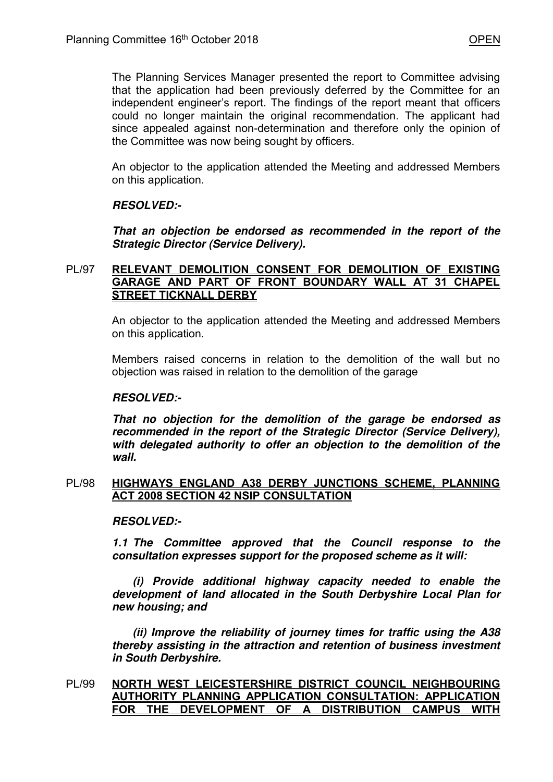The Planning Services Manager presented the report to Committee advising that the application had been previously deferred by the Committee for an independent engineer's report. The findings of the report meant that officers could no longer maintain the original recommendation. The applicant had since appealed against non-determination and therefore only the opinion of the Committee was now being sought by officers.

 An objector to the application attended the Meeting and addressed Members on this application.

## *RESOLVED:-*

*That an objection be endorsed as recommended in the report of the Strategic Director (Service Delivery).* 

# PL/97 **RELEVANT DEMOLITION CONSENT FOR DEMOLITION OF EXISTING GARAGE AND PART OF FRONT BOUNDARY WALL AT 31 CHAPEL STREET TICKNALL DERBY**

 An objector to the application attended the Meeting and addressed Members on this application.

Members raised concerns in relation to the demolition of the wall but no objection was raised in relation to the demolition of the garage

# *RESOLVED:-*

*That no objection for the demolition of the garage be endorsed as recommended in the report of the Strategic Director (Service Delivery), with delegated authority to offer an objection to the demolition of the wall.* 

#### PL/98 **HIGHWAYS ENGLAND A38 DERBY JUNCTIONS SCHEME, PLANNING ACT 2008 SECTION 42 NSIP CONSULTATION**

## *RESOLVED:-*

*1.1 The Committee approved that the Council response to the consultation expresses support for the proposed scheme as it will:* 

 *(i) Provide additional highway capacity needed to enable the development of land allocated in the South Derbyshire Local Plan for new housing; and* 

 *(ii) Improve the reliability of journey times for traffic using the A38 thereby assisting in the attraction and retention of business investment in South Derbyshire.* 

PL/99 **NORTH WEST LEICESTERSHIRE DISTRICT COUNCIL NEIGHBOURING AUTHORITY PLANNING APPLICATION CONSULTATION: APPLICATION**  FOR THE DEVELOPMENT OF A DISTRIBUTION CAMPUS WITH